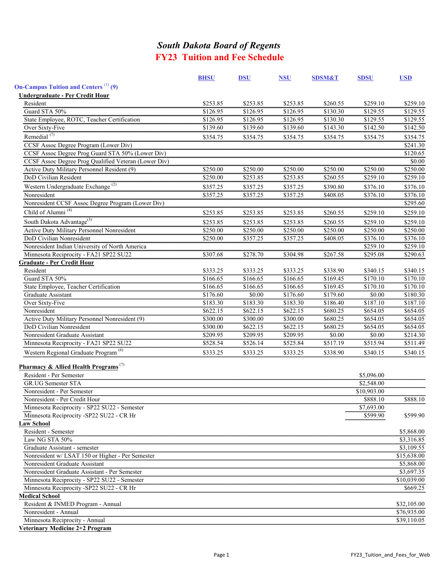# *South Dakota Board of Regents* **FY23 Tuition and Fee Schedule**

|                                                                                        | <b>BHSU</b> | <b>DSU</b> | <b>NSU</b> | <b>SDSM&amp;T</b> | <b>SDSU</b> | <b>USD</b>  |
|----------------------------------------------------------------------------------------|-------------|------------|------------|-------------------|-------------|-------------|
| <b>On-Campus Tuition and Centers</b> (1) (9)                                           |             |            |            |                   |             |             |
| <b>Undergraduate - Per Credit Hour</b>                                                 |             |            |            |                   |             |             |
| Resident                                                                               | \$253.85    | \$253.85   | \$253.85   | \$260.55          | \$259.10    | \$259.10    |
| Guard STA 50%                                                                          | \$126.95    | \$126.95   | \$126.95   | \$130.30          | \$129.55    | \$129.55    |
| State Employee, ROTC, Teacher Certification                                            | \$126.95    | \$126.95   | \$126.95   | \$130.30          | \$129.55    | \$129.55    |
| Over Sixty-Five                                                                        | \$139.60    | \$139.60   | \$139.60   | \$143.30          | \$142.50    | \$142.50    |
| Remedial <sup>(7)</sup>                                                                | \$354.75    | \$354.75   | \$354.75   | \$354.75          | \$354.75    | \$354.75    |
| CCSF Assoc Degree Program (Lower Div)                                                  |             |            |            |                   |             | \$241.30    |
| CCSF Assoc Degree Prog Guard STA 50% (Lower Div)                                       |             |            |            |                   |             | \$120.65    |
| CCSF Assoc Degree Prog Qualified Veteran (Lower Div)                                   |             |            |            |                   |             | \$0.00      |
| Active Duty Military Personnel Resident (9)                                            | \$250.00    | \$250.00   | \$250.00   | \$250.00          | \$250.00    | \$250.00    |
| DoD Civilian Resident                                                                  | \$250.00    | \$253.85   | \$253.85   | \$260.55          | \$259.10    | \$259.10    |
| Western Undergraduate Exchange <sup>(2)</sup>                                          | \$357.25    | \$357.25   | \$357.25   | \$390.80          | \$376.10    | \$376.10    |
| Nonresident                                                                            | \$357.25    | \$357.25   | \$357.25   | \$408.05          | \$376.10    | \$376.10    |
| Nonresident CCSF Assoc Degree Program (Lower Div)                                      |             |            |            |                   |             | \$295.60    |
| Child of Alumni <sup>(4)</sup>                                                         | \$253.85    | \$253.85   | \$253.85   | \$260.55          | \$259.10    | \$259.10    |
|                                                                                        |             |            |            |                   |             |             |
| South Dakota Advantage <sup>(3)</sup>                                                  | \$253.85    | \$253.85   | \$253.85   | \$260.55          | \$259.10    | \$259.10    |
| Active Duty Military Personnel Nonresident                                             | \$250.00    | \$250.00   | \$250.00   | \$250.00          | \$250.00    | \$250.00    |
| DoD Civilian Nonresident                                                               | \$250.00    | \$357.25   | \$357.25   | \$408.05          | \$376.10    | \$376.10    |
| Nonresident Indian University of North America                                         |             |            |            |                   | \$259.10    | \$259.10    |
| Minnesota Reciprocity - FA21 SP22 SU22                                                 | \$307.68    | \$278.70   | \$304.98   | \$267.58          | \$295.08    | \$290.63    |
| <b>Graduate - Per Credit Hour</b>                                                      |             |            |            |                   |             |             |
| Resident                                                                               | \$333.25    | \$333.25   | \$333.25   | \$338.90          | \$340.15    | \$340.15    |
| Guard STA 50%                                                                          | \$166.65    | \$166.65   | \$166.65   | \$169.45          | \$170.10    | \$170.10    |
| State Employee, Teacher Certification                                                  | \$166.65    | \$166.65   | \$166.65   | \$169.45          | \$170.10    | \$170.10    |
| Graduate Assistant                                                                     | \$176.60    | \$0.00     | \$176.60   | \$179.60          | \$0.00      | \$180.30    |
| Over Sixty-Five                                                                        | \$183.30    | \$183.30   | \$183.30   | \$186.40          | \$187.10    | \$187.10    |
| Nonresident                                                                            | \$622.15    | \$622.15   | \$622.15   | \$680.25          | \$654.05    | \$654.05    |
| Active Duty Military Personnel Nonresident (9)                                         | \$300.00    | \$300.00   | \$300.00   | \$680.25          | \$654.05    | \$654.05    |
| DoD Civilian Nonresident                                                               | \$300.00    | \$622.15   | \$622.15   | \$680.25          | \$654.05    | \$654.05    |
| Nonresident Graduate Assistant                                                         | \$209.95    | \$209.95   | \$209.95   | \$0.00            | \$0.00      | \$214.30    |
| Minnesota Reciprocity - FA21 SP22 SU22                                                 | \$528.54    | \$526.14   | \$525.84   | \$517.19          | \$515.94    | \$511.49    |
| Western Regional Graduate Program <sup>(6)</sup>                                       | \$333.25    | \$333.25   | \$333.25   | \$338.90          | \$340.15    | \$340.15    |
| <b>Pharmacy &amp; Allied Health Programs</b> <sup>(7)</sup><br>Resident - Per Semester |             |            |            |                   | \$5,096.00  |             |
| GR.UG Semester STA                                                                     |             |            |            |                   | \$2,548.00  |             |
| Nonresident - Per Semester                                                             |             |            |            |                   | \$10,903.00 |             |
| Nonresident - Per Credit Hour                                                          |             |            |            |                   | \$888.10    | \$888.10    |
| Minnesota Reciprocity - SP22 SU22 - Semester                                           |             |            |            |                   | \$7,693.00  |             |
| Minnesota Reciprocity -SP22 SU22 - CR Hr                                               |             |            |            |                   | \$599.90    | \$599.90    |
| <b>Law School</b>                                                                      |             |            |            |                   |             |             |
| Resident - Semester                                                                    |             |            |            |                   |             | \$5,868.00  |
| Law NG STA 50%                                                                         |             |            |            |                   |             | \$3,316.85  |
| Graduate Assistant - semester                                                          |             |            |            |                   |             | \$3,109.55  |
| Nonresident w/ LSAT 150 or Higher - Per Semester                                       |             |            |            |                   |             | \$15,638.00 |
| Nonresident Graduate Assistant                                                         |             |            |            |                   |             | \$5,868.00  |
| Nonresident Graduate Assistant - Per Semester                                          |             |            |            |                   |             | \$3,697.35  |
| Minnesota Reciprocity - SP22 SU22 - Semester                                           |             |            |            |                   |             | \$10,039.00 |
| Minnesota Reciprocity -SP22 SU22 - CR Hr                                               |             |            |            |                   |             | \$669.25    |
| <b>Medical School</b>                                                                  |             |            |            |                   |             |             |
| Resident & INMED Program - Annual                                                      |             |            |            |                   |             | \$32,105.00 |
| Nonresident - Annual                                                                   |             |            |            |                   |             | \$76,935.00 |
|                                                                                        |             |            |            |                   |             |             |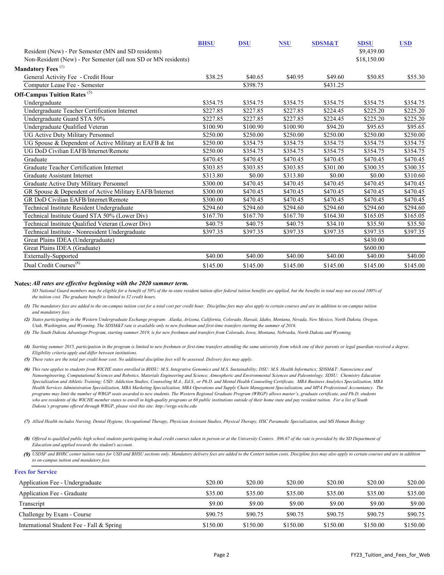|                                                                | <b>BHSU</b> | <b>DSU</b> | <b>NSU</b> | <b>SDSM&amp;T</b> | <b>SDSU</b> | <b>USD</b> |
|----------------------------------------------------------------|-------------|------------|------------|-------------------|-------------|------------|
| Resident (New) - Per Semester (MN and SD residents)            |             |            |            |                   | \$9,439.00  |            |
| Non-Resident (New) - Per Semester (all non SD or MN residents) |             |            |            |                   | \$18,150.00 |            |
| Mandatory Fees <sup>(1)</sup>                                  |             |            |            |                   |             |            |
| General Activity Fee - Credit Hour                             | \$38.25     | \$40.65    | \$40.95    | \$49.60           | \$50.85     | \$55.30    |
| Computer Lease Fee - Semester                                  |             | \$398.75   |            | \$431.25          |             |            |
| <b>Off-Campus Tuition Rates</b> (5)                            |             |            |            |                   |             |            |
| Undergraduate                                                  | \$354.75    | \$354.75   | \$354.75   | \$354.75          | \$354.75    | \$354.75   |
| Undergraduate Teacher Certification Internet                   | \$227.85    | \$227.85   | \$227.85   | \$224.45          | \$225.20    | \$225.20   |
| Undergraduate Guard STA 50%                                    | \$227.85    | \$227.85   | \$227.85   | \$224.45          | \$225.20    | \$225.20   |
| Undergraduate Qualified Veteran                                | \$100.90    | \$100.90   | \$100.90   | \$94.20           | \$95.65     | \$95.65    |
| <b>UG Active Duty Military Personnel</b>                       | \$250.00    | \$250.00   | \$250.00   | \$250.00          | \$250.00    | \$250.00   |
| UG Spouse & Dependent of Active Military at EAFB & Int         | \$250.00    | \$354.75   | \$354.75   | \$354.75          | \$354.75    | \$354.75   |
| UG DoD Civilian EAFB/Internet/Remote                           | \$250.00    | \$354.75   | \$354.75   | \$354.75          | \$354.75    | \$354.75   |
| Graduate                                                       | \$470.45    | \$470.45   | \$470.45   | \$470.45          | \$470.45    | \$470.45   |
| Graduate Teacher Certification Internet                        | \$303.85    | \$303.85   | \$303.85   | \$301.00          | \$300.35    | \$300.35   |
| Graduate Assistant Internet                                    | \$313.80    | \$0.00     | \$313.80   | \$0.00            | \$0.00      | \$310.60   |
| Graduate Active Duty Military Personnel                        | \$300.00    | \$470.45   | \$470.45   | \$470.45          | \$470.45    | \$470.45   |
| GR Spouse & Dependent of Active Military EAFB/Internet         | \$300.00    | \$470.45   | \$470.45   | \$470.45          | \$470.45    | \$470.45   |
| GR DoD Civilian EAFB/Internet/Remote                           | \$300.00    | \$470.45   | \$470.45   | \$470.45          | \$470.45    | \$470.45   |
| Technical Institute Resident Undergraduate                     | \$294.60    | \$294.60   | \$294.60   | \$294.60          | \$294.60    | \$294.60   |
| Technical Institute Guard STA 50% (Lower Div)                  | \$167.70    | \$167.70   | \$167.70   | \$164.30          | \$165.05    | \$165.05   |
| Technical Institute Qualified Veteran (Lower Div)              | \$40.75     | \$40.75    | \$40.75    | \$34.10           | \$35.50     | \$35.50    |
| Technical Institute - Nonresident Undergraduate                | \$397.35    | \$397.35   | \$397.35   | \$397.35          | \$397.35    | \$397.35   |
| Great Plains IDEA (Undergraduate)                              |             |            |            |                   | \$430.00    |            |
| Great Plains IDEA (Graduate)                                   |             |            |            |                   | \$600.00    |            |
| Externally-Supported                                           | \$40.00     | \$40.00    | \$40.00    | \$40.00           | \$40.00     | \$40.00    |
| Dual Credit Courses <sup>(8)</sup>                             | \$145.00    | \$145.00   | \$145.00   | \$145.00          | \$145.00    | \$145.00   |

#### **Notes:** *All rates are effective beginning with the 2020 summer term.*

SD National Guard members may be eligible for a benefit of 50% of the in-state resident tuition after federal tuition benefits are applied, but the benefits in total may not exceed 100% of *the tuition cost. The graduate benefit is limited to 32 credit hours.*

- *(1) The mandatory fees are added to the on-campus tuition cost for a total cost per credit hour. Discipline fees may also apply to certain courses and are in addition to on-campus tuition and mandatory fees.*
- *(2) States participating in the Western Undergraduate Exchange program: Alaska, Arizona, California, Colorado, Hawaii, Idaho, Montana, Nevada, New Mexico, North Dakota, Oregon, Utah, Washington, and Wyoming. The SDSM&T rate is available only to new freshman and first-time transfers starting the summer of 2016.*
- *(3) The South Dakota Advantage Program, starting summer 2019, is for new freshmen and transfers from Colorado, Iowa, Montana, Nebraska, North Dakota and Wyoming.*
- *(4) Starting summer 2015, participation in the program is limited to new freshmen or first-time transfers attending the same university from which one of their parents or legal guardian received a degree. Eligibility criteria apply and differ between institutions.*

*(5) These rates are the total per credit hour cost. No additional discipline fees will be assessed. Delivery fees may apply.*

*(6) This rate applies to students from WICHE states enrolled in BHSU: M.S. Integrative Genomics and M.S. Sustainability; DSU: M.S. Health Informatics; SDSM&T: Nanoscience and Nanoengineering, Computational Sciences and Robotics, Materials Engineering and Science, Atmospheric and Environmental Sciences and Paleontology; SDSU: Chemistry Education Specialization and Athletic Training; USD: Addiction Studies, Counseling M.A., Ed.S., or Ph.D. and Mental Health Counseling Certificate, MBA Business Analytics Specialization, MBA Health Services Administration Specialization, MBA Marketing Specialization, MBA Operations and Supply Chain Management Specialization, and MPA Professional Accountancy. The programs may limit the number of WRGP seats awarded to new students. The Western Regional Graduate Program (WRGP) allows master's, graduate certificate, and Ph.D. students who are residents of the WICHE member states to enroll in high-quality programs at 60 public institutions outside of their home state and pay resident tuition. For a list of South Dakota's programs offered through WRGP, please visit this site: http://wrgp.wiche.edu*

- *(7) Allied Health includes Nursing, Dental Hygiene, Occupational Therapy, Physician Assistant Studies, Physical Therapy, HSC Paramedic Specialization, and MS Human Biology*
- *(8) Offered to qualified public high school students participating in dual credit courses taken in person or at the University Centers. \$96.67 of the rate is provided by the SD Department of Education and applied towards the student's account.*

*(9) USDSF and BHRC center tuition rates for USD and BHSU sections only. Mandatory delivery fees are added to the Centert tuition costs. Discipline fees may also apply to certain courses and are in addition to on-campus tuition and mandatory fees.*

| <b>Fees for Service</b>                   |          |          |          |          |          |          |
|-------------------------------------------|----------|----------|----------|----------|----------|----------|
| Application Fee - Undergraduate           | \$20.00  | \$20.00  | \$20.00  | \$20.00  | \$20.00  | \$20.00  |
| Application Fee - Graduate                | \$35.00  | \$35.00  | \$35.00  | \$35.00  | \$35.00  | \$35.00  |
| Transcript                                | \$9.00   | \$9.00   | \$9.00   | \$9.00   | \$9.00   | \$9.00   |
| Challenge by Exam - Course                | \$90.75  | \$90.75  | \$90.75  | \$90.75  | \$90.75  | \$90.75  |
| International Student Fee - Fall & Spring | \$150.00 | \$150.00 | \$150.00 | \$150.00 | \$150.00 | \$150.00 |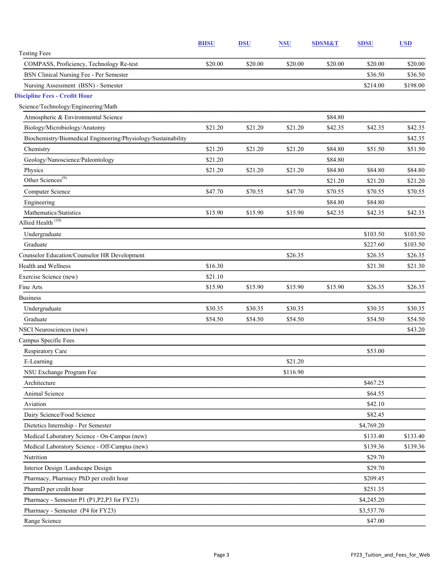|                                                               | <b>BHSU</b> | <b>DSU</b> | <b>NSU</b> | <b>SDSM&amp;T</b> | <b>SDSU</b> | <b>USD</b> |
|---------------------------------------------------------------|-------------|------------|------------|-------------------|-------------|------------|
| <b>Testing Fees</b>                                           |             |            |            |                   |             |            |
| COMPASS, Proficiency, Technology Re-test                      | \$20.00     | \$20.00    | \$20.00    | \$20.00           | \$20.00     | \$20.00    |
| BSN Clinical Nursing Fee - Per Semester                       |             |            |            |                   | \$36.50     | \$36.50    |
| Nursing Assessment (BSN) - Semester                           |             |            |            |                   | \$214.00    | \$198.00   |
| <b>Discipline Fees - Credit Hour</b>                          |             |            |            |                   |             |            |
| Science/Technology/Engineering/Math                           |             |            |            |                   |             |            |
| Atmospheric & Environmental Science                           |             |            |            | \$84.80           |             |            |
| Biology/Microbiology/Anatomy                                  | \$21.20     | \$21.20    | \$21.20    | \$42.35           | \$42.35     | \$42.35    |
| Biochemistry/Biomedical Engineering/Physiology/Sustainability |             |            |            |                   |             | \$42.35    |
| Chemistry                                                     | \$21.20     | \$21.20    | \$21.20    | \$84.80           | \$51.50     | \$51.50    |
| Geology/Nanoscience/Paleontology                              | \$21.20     |            |            | \$84.80           |             |            |
| Physics                                                       | \$21.20     | \$21.20    | \$21.20    | \$84.80           | \$84.80     | \$84.80    |
| Other Sciences <sup>(9)</sup>                                 |             |            |            | \$21.20           | \$21.20     | \$21.20    |
| Computer Science                                              | \$47.70     | \$70.55    | \$47.70    | \$70.55           | \$70.55     | \$70.55    |
| Engineering                                                   |             |            |            | \$84.80           | \$84.80     |            |
| Mathematics/Statistics                                        | \$15.90     | \$15.90    | \$15.90    | \$42.35           | \$42.35     | \$42.35    |
| Allied Health <sup>(10)</sup>                                 |             |            |            |                   |             |            |
| Undergraduate                                                 |             |            |            |                   | \$103.50    | \$103.50   |
| Graduate                                                      |             |            |            |                   | \$227.60    | \$103.50   |
| Counselor Education/Counselor HR Development                  |             |            | \$26.35    |                   | \$26.35     | \$26.35    |
| <b>Health and Wellness</b>                                    | \$16.30     |            |            |                   | \$21.30     | \$21.30    |
| Exercise Science (new)                                        | \$21.10     |            |            |                   |             |            |
| Fine Arts                                                     | \$15.90     | \$15.90    | \$15.90    | \$15.90           | \$26.35     | \$26.35    |
| <b>Business</b>                                               |             |            |            |                   |             |            |
| Undergraduate                                                 | \$30.35     | \$30.35    | \$30.35    |                   | \$30.35     | \$30.35    |
| Graduate                                                      | \$54.50     | \$54.50    | \$54.50    |                   | \$54.50     | \$54.50    |
| NSCI Neurosciences (new)                                      |             |            |            |                   |             | \$43.20    |
| Campus Specific Fees                                          |             |            |            |                   |             |            |
| Respiratory Care                                              |             |            |            |                   | \$53.00     |            |
| E-Learning                                                    |             |            | \$21.20    |                   |             |            |
| NSU Exchange Program Fee                                      |             |            | \$116.90   |                   |             |            |
| Architecture                                                  |             |            |            |                   | \$467.25    |            |
| Animal Science                                                |             |            |            |                   | \$64.55     |            |
| Aviation                                                      |             |            |            |                   | \$42.10     |            |
| Dairy Science/Food Science                                    |             |            |            |                   | \$82.45     |            |
| Dietetics Internship - Per Semester                           |             |            |            |                   | \$4,769.20  |            |
| Medical Laboratory Science - On-Campus (new)                  |             |            |            |                   | \$133.40    | \$133.40   |
| Medical Laboratory Science - Off-Campus (new)                 |             |            |            |                   | \$139.36    | \$139.36   |
| Nutrition                                                     |             |            |            |                   | \$29.70     |            |
| Interior Design /Landscape Design                             |             |            |            |                   | \$29.70     |            |
| Pharmacy, Pharmacy PhD per credit hour                        |             |            |            |                   | \$209.45    |            |
| PharmD per credit hour                                        |             |            |            |                   | \$251.35    |            |
| Pharmacy - Semester P1 (P1, P2, P3 for FY23)                  |             |            |            |                   | \$4,245.20  |            |
| Pharmacy - Semester (P4 for FY23)                             |             |            |            |                   | \$3,537.70  |            |
| Range Science                                                 |             |            |            |                   | \$47.00     |            |
|                                                               |             |            |            |                   |             |            |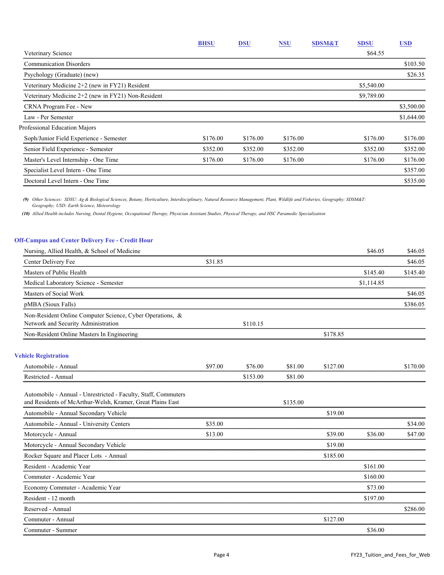|                                                    | <b>BHSU</b> | <b>DSU</b> | <b>NSU</b> | <b>SDSM&amp;T</b> | <b>SDSU</b> | <b>USD</b> |
|----------------------------------------------------|-------------|------------|------------|-------------------|-------------|------------|
| Veterinary Science                                 |             |            |            |                   | \$64.55     |            |
| <b>Communication Disorders</b>                     |             |            |            |                   |             | \$103.50   |
| Psychology (Graduate) (new)                        |             |            |            |                   |             | \$26.35    |
| Veterinary Medicine 2+2 (new in FY21) Resident     |             |            |            |                   | \$5,540.00  |            |
| Veterinary Medicine 2+2 (new in FY21) Non-Resident |             |            |            |                   | \$9,789.00  |            |
| CRNA Program Fee - New                             |             |            |            |                   |             | \$3,500.00 |
| Law - Per Semester                                 |             |            |            |                   |             | \$1,644.00 |
| Professional Education Majors                      |             |            |            |                   |             |            |
| Soph/Junior Field Experience - Semester            | \$176.00    | \$176.00   | \$176.00   |                   | \$176.00    | \$176.00   |
| Senior Field Experience - Semester                 | \$352.00    | \$352.00   | \$352.00   |                   | \$352.00    | \$352.00   |
| Master's Level Internship - One Time               | \$176.00    | \$176.00   | \$176.00   |                   | \$176.00    | \$176.00   |
| Specialist Level Intern - One Time                 |             |            |            |                   |             | \$357.00   |
| Doctoral Level Intern - One Time                   |             |            |            |                   |             | \$535.00   |

*(9) Other Sciences: SDSU: Ag & Biological Sciences, Botany, Horticulture, Interdisciplinary, Natural Resource Management, Plant, Wildlife and Fisheries, Geography; SDSM&T: Geography; USD: Earth Science, Meteorology*

*(10) Allied Health includes Nursing, Dental Hygiene, Occupational Therapy, Physician Assistant Studies, Physical Therapy, and HSC Paramedic Specialization*

## **Off-Campus and Center Delivery Fee - Credit Hour**

|         |          |          |          | \$46.05    | \$46.05  |
|---------|----------|----------|----------|------------|----------|
| \$31.85 |          |          |          |            | \$46.05  |
|         |          |          |          | \$145.40   | \$145.40 |
|         |          |          |          | \$1,114.85 |          |
|         |          |          |          |            | \$46.05  |
|         |          |          |          |            | \$386.05 |
|         | \$110.15 |          |          |            |          |
|         |          |          | \$178.85 |            |          |
|         |          |          |          |            |          |
| \$97.00 | \$76.00  | \$81.00  | \$127.00 |            | \$170.00 |
|         | \$153.00 | \$81.00  |          |            |          |
|         |          | \$135.00 |          |            |          |
|         |          |          | \$19.00  |            |          |
| \$35.00 |          |          |          |            | \$34.00  |
| \$13.00 |          |          | \$39.00  | \$36.00    | \$47.00  |
|         |          |          | \$19.00  |            |          |
|         |          |          | \$185.00 |            |          |
|         |          |          |          | \$161.00   |          |
|         |          |          |          | \$160.00   |          |
|         |          |          |          | \$73.00    |          |
|         |          |          |          | \$197.00   |          |
|         |          |          |          |            | \$286.00 |
|         |          |          | \$127.00 |            |          |
|         |          |          |          | \$36.00    |          |
|         |          |          |          |            |          |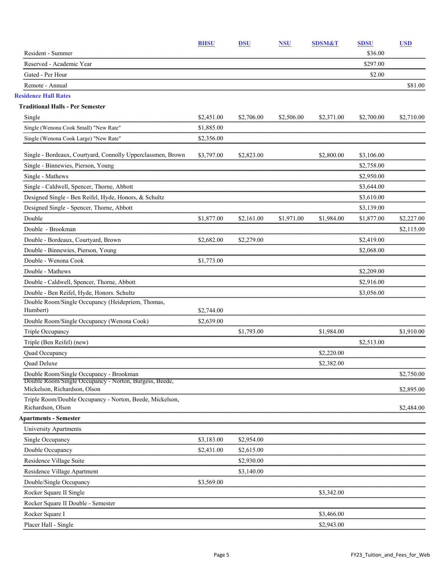|                                                                                                   | <b>BHSU</b> | <b>DSU</b> | <b>NSU</b> | <b>SDSM&amp;T</b> | <b>SDSU</b> | <b>USD</b> |
|---------------------------------------------------------------------------------------------------|-------------|------------|------------|-------------------|-------------|------------|
| Resident - Summer                                                                                 |             |            |            |                   | \$36.00     |            |
| Reserved - Academic Year                                                                          |             |            |            |                   | \$297.00    |            |
| Gated - Per Hour                                                                                  |             |            |            |                   | \$2.00      |            |
| Remote - Annual                                                                                   |             |            |            |                   |             | \$81.00    |
| <b>Residence Hall Rates</b>                                                                       |             |            |            |                   |             |            |
| <b>Traditional Halls - Per Semester</b>                                                           |             |            |            |                   |             |            |
| Single                                                                                            | \$2,451.00  | \$2,706.00 | \$2,506.00 | \$2,371.00        | \$2,700.00  | \$2,710.00 |
| Single (Wenona Cook Small) "New Rate"                                                             | \$1,885.00  |            |            |                   |             |            |
| Single (Wenona Cook Large) "New Rate"                                                             | \$2,356.00  |            |            |                   |             |            |
| Single - Bordeaux, Courtyard, Connolly Upperclassmen, Brown                                       | \$3,797.00  | \$2,823.00 |            | \$2,800.00        | \$3,106.00  |            |
| Single - Binnewies, Pierson, Young                                                                |             |            |            |                   | \$2,758.00  |            |
| Single - Mathews                                                                                  |             |            |            |                   | \$2,950.00  |            |
| Single - Caldwell, Spencer, Thorne, Abbott                                                        |             |            |            |                   | \$3,644.00  |            |
| Designed Single - Ben Reifel, Hyde, Honors, & Schultz                                             |             |            |            |                   | \$3,610.00  |            |
| Designed Single - Spencer, Thorne, Abbott                                                         |             |            |            |                   | \$3,139.00  |            |
| Double                                                                                            | \$1,877.00  | \$2,161.00 | \$1,971.00 | \$1,984.00        | \$1,877.00  | \$2,227.00 |
| Double - Brookman                                                                                 |             |            |            |                   |             | \$2,115.00 |
| Double - Bordeaux, Courtyard, Brown                                                               | \$2,682.00  | \$2,279.00 |            |                   | \$2,419.00  |            |
| Double - Binnewies, Pierson, Young                                                                |             |            |            |                   | \$2,068.00  |            |
| Double - Wenona Cook                                                                              | \$1,773.00  |            |            |                   |             |            |
| Double - Mathews                                                                                  |             |            |            |                   | \$2,209.00  |            |
| Double - Caldwell, Spencer, Thorne, Abbott                                                        |             |            |            |                   | \$2,916.00  |            |
| Double - Ben Reifel, Hyde, Honors. Schultz                                                        |             |            |            |                   | \$3,056.00  |            |
| Double Room/Single Occupancy (Heidepriem, Thomas,<br>Humbert)                                     | \$2,744.00  |            |            |                   |             |            |
| Double Room/Single Occupancy (Wenona Cook)                                                        | \$2,639.00  |            |            |                   |             |            |
| Triple Occupancy                                                                                  |             | \$1,793.00 |            | \$1,984.00        |             | \$1,910.00 |
| Triple (Ben Reifel) (new)                                                                         |             |            |            |                   | \$2,513.00  |            |
| Quad Occupancy                                                                                    |             |            |            | \$2,220.00        |             |            |
| Quad Deluxe                                                                                       |             |            |            | \$2,382.00        |             |            |
| Double Room/Single Occupancy - Brookman<br>Double Room/Single Occupancy - Norton, Burgess, Beede, |             |            |            |                   |             | \$2,750.00 |
| Mickelson, Richardson, Olson                                                                      |             |            |            |                   |             | \$2,895.00 |
| Triple Room/Double Occupancy - Norton, Beede, Mickelson,<br>Richardson, Olson                     |             |            |            |                   |             | \$2,484.00 |
| <b>Apartments - Semester</b>                                                                      |             |            |            |                   |             |            |
| University Apartments                                                                             |             |            |            |                   |             |            |
| Single Occupancy                                                                                  | \$3,183.00  | \$2,954.00 |            |                   |             |            |
| Double Occupancy                                                                                  | \$2,431.00  | \$2,615.00 |            |                   |             |            |
| Residence Village Suite                                                                           |             | \$2,930.00 |            |                   |             |            |
| Residence Village Apartment                                                                       |             | \$3,140.00 |            |                   |             |            |
| Double/Single Occupancy                                                                           | \$3,569.00  |            |            |                   |             |            |
| Rocker Square II Single                                                                           |             |            |            | \$3,342.00        |             |            |
| Rocker Square II Double - Semester                                                                |             |            |            |                   |             |            |
| Rocker Square I                                                                                   |             |            |            | \$3,466.00        |             |            |
| Placer Hall - Single                                                                              |             |            |            | \$2,943.00        |             |            |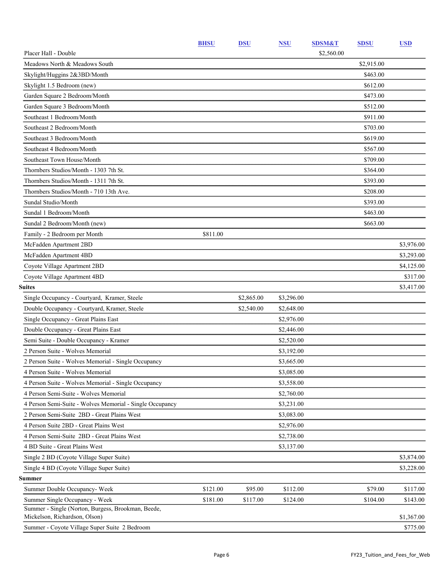|                                                                                     | <b>BHSU</b> | <b>DSU</b> | <b>NSU</b> | <b>SDSM&amp;T</b> | <b>SDSU</b> | <b>USD</b> |
|-------------------------------------------------------------------------------------|-------------|------------|------------|-------------------|-------------|------------|
| Placer Hall - Double                                                                |             |            |            | \$2,560.00        |             |            |
| Meadows North & Meadows South                                                       |             |            |            |                   | \$2,915.00  |            |
| Skylight/Huggins 2&3BD/Month                                                        |             |            |            |                   | \$463.00    |            |
| Skylight 1.5 Bedroom (new)                                                          |             |            |            |                   | \$612.00    |            |
| Garden Square 2 Bedroom/Month                                                       |             |            |            |                   | \$473.00    |            |
| Garden Square 3 Bedroom/Month                                                       |             |            |            |                   | \$512.00    |            |
| Southeast 1 Bedroom/Month                                                           |             |            |            |                   | \$911.00    |            |
| Southeast 2 Bedroom/Month                                                           |             |            |            |                   | \$703.00    |            |
| Southeast 3 Bedroom/Month                                                           |             |            |            |                   | \$619.00    |            |
| Southeast 4 Bedroom/Month                                                           |             |            |            |                   | \$567.00    |            |
| Southeast Town House/Month                                                          |             |            |            |                   | \$709.00    |            |
| Thornbers Studios/Month - 1303 7th St.                                              |             |            |            |                   | \$364.00    |            |
| Thornbers Studios/Month - 1311 7th St.                                              |             |            |            |                   | \$393.00    |            |
| Thornbers Studios/Month - 710 13th Ave.                                             |             |            |            |                   | \$208.00    |            |
| Sundal Studio/Month                                                                 |             |            |            |                   | \$393.00    |            |
| Sundal 1 Bedroom/Month                                                              |             |            |            |                   | \$463.00    |            |
| Sundal 2 Bedroom/Month (new)                                                        |             |            |            |                   | \$663.00    |            |
| Family - 2 Bedroom per Month                                                        | \$811.00    |            |            |                   |             |            |
| McFadden Apartment 2BD                                                              |             |            |            |                   |             | \$3,976.00 |
| McFadden Apartment 4BD                                                              |             |            |            |                   |             | \$3,293.00 |
| Coyote Village Apartment 2BD                                                        |             |            |            |                   |             | \$4,125.00 |
| Coyote Village Apartment 4BD                                                        |             |            |            |                   |             | \$317.00   |
| <b>Suites</b>                                                                       |             |            |            |                   |             | \$3,417.00 |
| Single Occupancy - Courtyard, Kramer, Steele                                        |             | \$2,865.00 | \$3,296.00 |                   |             |            |
| Double Occupancy - Courtyard, Kramer, Steele                                        |             | \$2,540.00 | \$2,648.00 |                   |             |            |
| Single Occupancy - Great Plains East                                                |             |            | \$2,976.00 |                   |             |            |
| Double Occupancy - Great Plains East                                                |             |            | \$2,446.00 |                   |             |            |
| Semi Suite - Double Occupancy - Kramer                                              |             |            | \$2,520.00 |                   |             |            |
| 2 Person Suite - Wolves Memorial                                                    |             |            | \$3,192.00 |                   |             |            |
| 2 Person Suite - Wolves Memorial - Single Occupancy                                 |             |            | \$3,665.00 |                   |             |            |
| 4 Person Suite - Wolves Memorial                                                    |             |            | \$3,085.00 |                   |             |            |
| 4 Person Suite - Wolves Memorial - Single Occupancy                                 |             |            | \$3,558.00 |                   |             |            |
| 4 Person Semi-Suite - Wolves Memorial                                               |             |            | \$2,760.00 |                   |             |            |
| 4 Person Semi-Suite - Wolves Memorial - Single Occupancy                            |             |            | \$3,231.00 |                   |             |            |
| 2 Person Semi-Suite 2BD - Great Plains West                                         |             |            | \$3,083.00 |                   |             |            |
| 4 Person Suite 2BD - Great Plains West                                              |             |            | \$2,976.00 |                   |             |            |
| 4 Person Semi-Suite 2BD - Great Plains West                                         |             |            | \$2,738.00 |                   |             |            |
| 4 BD Suite - Great Plains West                                                      |             |            | \$3,137.00 |                   |             |            |
| Single 2 BD (Coyote Village Super Suite)                                            |             |            |            |                   |             | \$3,874.00 |
| Single 4 BD (Coyote Village Super Suite)                                            |             |            |            |                   |             | \$3,228.00 |
| Summer                                                                              |             |            |            |                   |             |            |
| Summer Double Occupancy- Week                                                       | \$121.00    | \$95.00    | \$112.00   |                   | \$79.00     | \$117.00   |
| Summer Single Occupancy - Week                                                      | \$181.00    | \$117.00   | \$124.00   |                   | \$104.00    | \$143.00   |
| Summer - Single (Norton, Burgess, Brookman, Beede,<br>Mickelson, Richardson, Olson) |             |            |            |                   |             | \$1,367.00 |
| Summer - Coyote Village Super Suite 2 Bedroom                                       |             |            |            |                   |             | \$775.00   |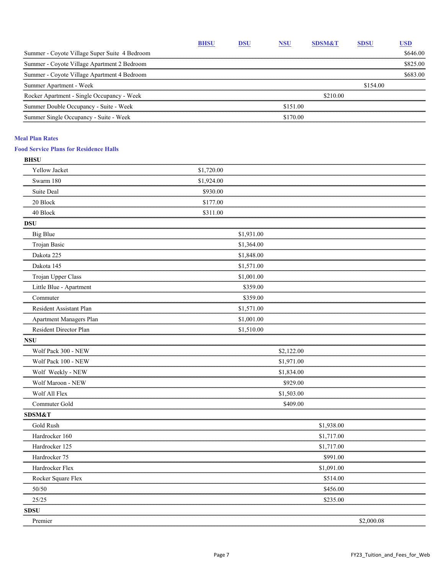|                                               | <b>BHSU</b> | DSU | <b>NSU</b> | <b>SDSM&amp;T</b> | <b>SDSU</b> | USD      |
|-----------------------------------------------|-------------|-----|------------|-------------------|-------------|----------|
| Summer - Coyote Village Super Suite 4 Bedroom |             |     |            |                   |             | \$646.00 |
| Summer - Coyote Village Apartment 2 Bedroom   |             |     |            |                   |             | \$825.00 |
| Summer - Coyote Village Apartment 4 Bedroom   |             |     |            |                   |             | \$683.00 |
| Summer Apartment - Week                       |             |     |            |                   | \$154.00    |          |
| Rocker Apartment - Single Occupancy - Week    |             |     |            | \$210.00          |             |          |
| Summer Double Occupancy - Suite - Week        |             |     | \$151.00   |                   |             |          |
| Summer Single Occupancy - Suite - Week        |             |     | \$170.00   |                   |             |          |

#### **Meal Plan Rates**

## **Food Service Plans for Residence Halls**

| <b>BHSU</b>             |            |            |            |            |            |  |
|-------------------------|------------|------------|------------|------------|------------|--|
| Yellow Jacket           | \$1,720.00 |            |            |            |            |  |
| Swarm 180               | \$1,924.00 |            |            |            |            |  |
| Suite Deal              | \$930.00   |            |            |            |            |  |
| 20 Block                | \$177.00   |            |            |            |            |  |
| 40 Block                | \$311.00   |            |            |            |            |  |
| <b>DSU</b>              |            |            |            |            |            |  |
| <b>Big Blue</b>         |            | \$1,931.00 |            |            |            |  |
| Trojan Basic            |            | \$1,364.00 |            |            |            |  |
| Dakota 225              |            | \$1,848.00 |            |            |            |  |
| Dakota 145              |            | \$1,571.00 |            |            |            |  |
| Trojan Upper Class      |            | \$1,001.00 |            |            |            |  |
| Little Blue - Apartment |            | \$359.00   |            |            |            |  |
| Commuter                |            | \$359.00   |            |            |            |  |
| Resident Assistant Plan |            | \$1,571.00 |            |            |            |  |
| Apartment Managers Plan |            | \$1,001.00 |            |            |            |  |
| Resident Director Plan  |            | \$1,510.00 |            |            |            |  |
| <b>NSU</b>              |            |            |            |            |            |  |
| Wolf Pack 300 - NEW     |            |            | \$2,122.00 |            |            |  |
| Wolf Pack 100 - NEW     |            |            | \$1,971.00 |            |            |  |
| Wolf Weekly - NEW       |            |            | \$1,834.00 |            |            |  |
| Wolf Maroon - NEW       |            |            | \$929.00   |            |            |  |
| Wolf All Flex           |            |            | \$1,503.00 |            |            |  |
| Commuter Gold           |            |            | \$409.00   |            |            |  |
| <b>SDSM&amp;T</b>       |            |            |            |            |            |  |
| Gold Rush               |            |            |            | \$1,938.00 |            |  |
| Hardrocker 160          |            |            |            | \$1,717.00 |            |  |
| Hardrocker 125          |            |            |            | \$1,717.00 |            |  |
| Hardrocker 75           |            |            |            | \$991.00   |            |  |
| Hardrocker Flex         |            |            |            | \$1,091.00 |            |  |
| Rocker Square Flex      |            |            |            | \$514.00   |            |  |
| 50/50                   |            |            |            | \$456.00   |            |  |
| 25/25                   |            |            |            | \$235.00   |            |  |
| <b>SDSU</b>             |            |            |            |            |            |  |
| Premier                 |            |            |            |            | \$2,000.08 |  |